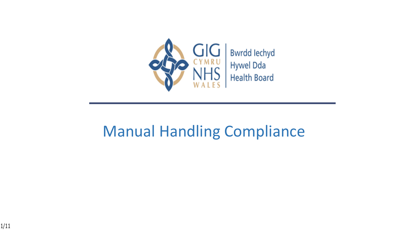

### Manual Handling Compliance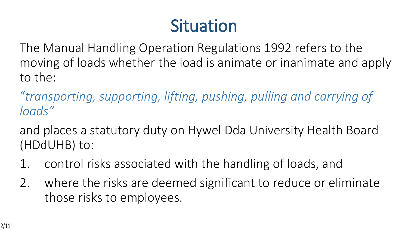## **Situation**

The Manual Handling Operation Regulations 1992 refers to the moving of loads whether the load is animate or inanimate and apply to the:

"*transporting, supporting, lifting, pushing, pulling and carrying of loads"* 

and places a statutory duty on Hywel Dda University Health Board (HDdUHB) to:

- 1. control risks associated with the handling of loads, and
- 2. where the risks are deemed significant to reduce or eliminate those risks to employees.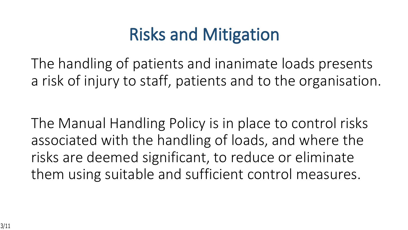## **Risks and Mitigation**

The handling of patients and inanimate loads presents a risk of injury to staff, patients and to the organisation.

The Manual Handling Policy is in place to control risks associated with the handling of loads, and where the risks are deemed significant, to reduce or eliminate them using suitable and sufficient control measures.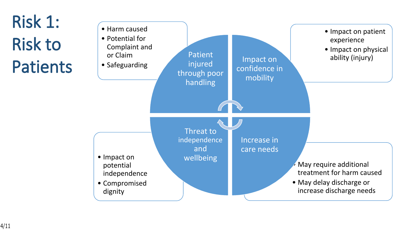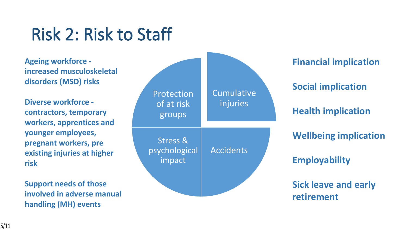## **Risk 2: Risk to Staff**

**Ageing workforce increased musculoskeletal disorders (MSD) risks**

**Diverse workforce contractors, temporary workers, apprentices and younger employees, pregnant workers, pre existing injuries at higher risk**

**Support needs of those involved in adverse manual handling (MH) events**

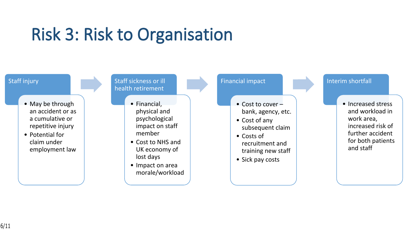## **Risk 3: Risk to Organisation**

#### Staff injury

- May be through an accident or as a cumulative or repetitive injury
- Potential for claim under employment law

#### Staff sickness or ill health retirement

- Financial, physical and psychological impact on staff member
	- Cost to NHS and UK economy of lost days
- Impact on area morale/workload

#### Financial impact

- Cost to cover bank, agency, etc.
- Cost of any subsequent claim
- Costs of recruitment and training new staff
- Sick pay costs

#### Interim shortfall

• Increased stress and workload in work area, increased risk of further accident for both patients and staff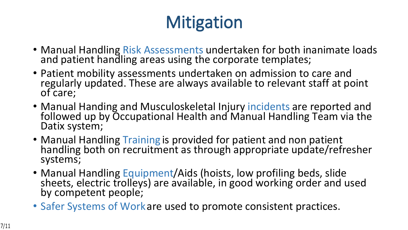# **Mitigation**

- Manual Handling Risk Assessments undertaken for both inanimate loads and patient handling areas using the corporate templates;
- Patient mobility assessments undertaken on admission to care and regularly updated. These are always available to relevant staff at point of care;
- Manual Handing and Musculoskeletal Injury incidents are reported and followed up by Occupational Health and Manual Handling Team via the Datix system;
- Manual Handling Training is provided for patient and non patient handling both on recruitment as through appropriate update/refresher systems;
- Manual Handling Equipment/Aids (hoists, low profiling beds, slide sheets, electric trolleys) are available, in good working order and used by competent people;
- Safer Systems of Work are used to promote consistent practices.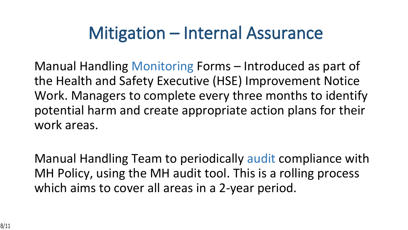## **Mitigation – Internal Assurance**

Manual Handling Monitoring Forms – Introduced as part of the Health and Safety Executive (HSE) Improvement Notice Work. Managers to complete every three months to identify potential harm and create appropriate action plans for their work areas.

Manual Handling Team to periodically audit compliance with MH Policy, using the MH audit tool. This is a rolling process which aims to cover all areas in a 2-year period.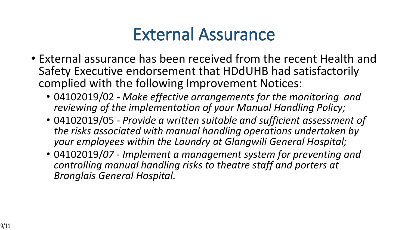## **External Assurance**

- External assurance has been received from the recent Health and Safety Executive endorsement that HDdUHB had satisfactorily complied with the following Improvement Notices:
	- 04102019/02 *Make effective arrangements for the monitoring and reviewing of the implementation of your Manual Handling Policy;*
	- 04102019/05 *Provide a written suitable and sufficient assessment of the risks associated with manual handling operations undertaken by your employees within the Laundry at Glangwili General Hospital;*
	- 04102019/*07 Implement a management system for preventing and controlling manual handling risks to theatre staff and porters at Bronglais General Hospital.*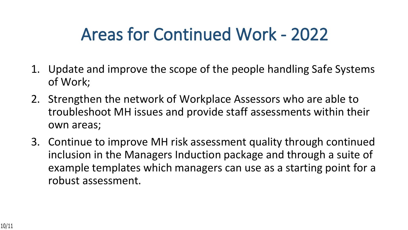## **Areas for Continued Work - 2022**

- 1. Update and improve the scope of the people handling Safe Systems of Work;
- 2. Strengthen the network of Workplace Assessors who are able to troubleshoot MH issues and provide staff assessments within their own areas;
- 3. Continue to improve MH risk assessment quality through continued inclusion in the Managers Induction package and through a suite of example templates which managers can use as a starting point for a robust assessment.